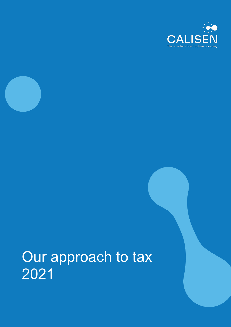



# Our approach to tax 2021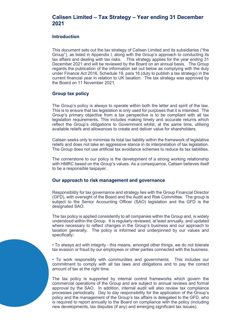## Calisen Limited – Tax Strategy – Year ending 31 December 2021

#### Introduction

This document sets out the tax strategy of Calisen Limited and its subsidiaries ("the Group"), as listed in Appendix I, along with the Group's approach to conducting its tax affairs and dealing with tax risks. This strategy applies for the year ending 31 December 2021 and will be reviewed by the Board on an annual basis. The Group regards the publication of the information set out below as complying with the duty under Finance Act 2016, Schedule 19, para 16 (duty to publish a tax strategy) in the current financial year in relation to UK taxation. The tax strategy was approved by the Board on 11 November 2021.

#### Group tax policy

The Group's policy is always to operate within both the letter and spirit of the law. This is to ensure that tax legislation is only used for purposes that it is intended. The Group's primary objective from a tax perspective is to be compliant with all tax legislation requirements. This includes making timely and accurate returns which reflect the Group's obligations to Government whilst, at the same time, utilising available reliefs and allowances to create and deliver value for shareholders.

Calisen seeks only to minimise its total tax liability within the framework of legislative reliefs and does not take an aggressive stance in its interpretation of tax legislation. The Group does not use artificial tax avoidance schemes to reduce its tax liabilities.

The cornerstone to our policy is the development of a strong working relationship with HMRC based on the Group's values. As a consequence, Calisen believes itself to be a responsible taxpayer.

#### Our approach to risk management and governance

Responsibility for tax governance and strategy lies with the Group Financial Director (GFD), with oversight of the Board and the Audit and Risk Committee. The group is subject to the Senior Accounting Officer (SAO) legislation and the GFD is the designated SAO.

The tax policy is applied consistently to all companies within the Group and, is widely understood within the Group. It is regularly reviewed, at least annually, and updated where necessary to reflect changes in the Group's business and our approach to taxation generally. The policy is informed and underpinned by our values and specifically:

• To always act with integrity - this means, amongst other things, we do not tolerate tax evasion or fraud by our employees or other parties connected with the business.

• To work responsibly with communities and governments. This includes our commitment to comply with all tax laws and obligations and to pay the correct amount of tax at the right time.

The tax policy is supported by internal control frameworks which govern the commercial operations of the Group and are subject to annual reviews and formal approval by the SAO. In addition, internal audit will also review tax compliance processes periodically. Day to day responsibility for the application of the Group's policy and the management of the Group's tax affairs is delegated to the GFD, who is required to report annually to the Board on compliance with the policy (including new developments, tax disputes (if any) and emerging significant tax issues).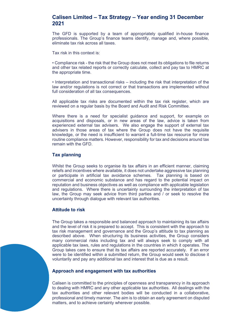### Calisen Limited – Tax Strategy – Year ending 31 December 2021

The GFD is supported by a team of appropriately qualified in-house finance professionals. The Group's finance teams identify, manage and, where possible, eliminate tax risk across all taxes.

Tax risk in this context is:

• Compliance risk - the risk that the Group does not meet its obligations to file returns and other tax related reports or correctly calculate, collect and pay tax to HMRC at the appropriate time.

• Interpretation and transactional risks – including the risk that interpretation of the law and/or regulations is not correct or that transactions are implemented without full consideration of all tax consequences.

All applicable tax risks are documented within the tax risk register, which are reviewed on a regular basis by the Board and Audit and Risk Committee.

Where there is a need for specialist guidance and support, for example on acquisitions and disposals, or in new areas of the law, advice is taken from experienced external tax advisers. We also engage the support of external tax advisers in those areas of tax where the Group does not have the requisite knowledge, or the need is insufficient to warrant a full-time tax resource for more routine compliance matters. However, responsibility for tax and decisions around tax remain with the GFD.

#### Tax planning

Whilst the Group seeks to organise its tax affairs in an efficient manner, claiming reliefs and incentives where available, it does not undertake aggressive tax planning or participate in artificial tax avoidance schemes. Tax planning is based on commercial and economic substance and has regard to the potential impact on reputation and business objectives as well as compliance with applicable legislation and regulations. Where there is uncertainty surrounding the interpretation of tax law, the Group may seek advice from third parties and / or seek to resolve the uncertainty through dialogue with relevant tax authorities.

#### Attitude to risk

The Group takes a responsible and balanced approach to maintaining its tax affairs and the level of risk it is prepared to accept. This is consistent with the approach to tax risk management and governance and the Group's attitude to tax planning as described above. When structuring its business activities, the Group considers many commercial risks including tax and will always seek to comply with all applicable tax laws, rules and regulations in the countries in which it operates. The Group takes care to ensure that its tax affairs are reported accurately. If an error were to be identified within a submitted return, the Group would seek to disclose it voluntarily and pay any additional tax and interest that is due as a result.

#### Approach and engagement with tax authorities

Calisen is committed to the principles of openness and transparency in its approach to dealing with HMRC and any other applicable tax authorities. All dealings with the tax authorities and other relevant bodies will be conducted in a collaborative, professional and timely manner. The aim is to obtain an early agreement on disputed matters, and to achieve certainty wherever possible.